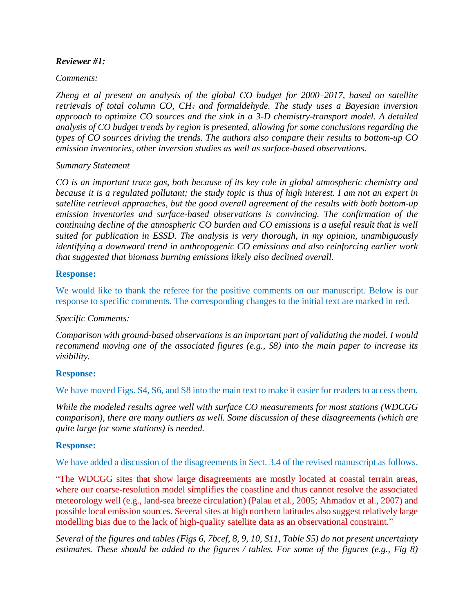### *Reviewer #1:*

### *Comments:*

*Zheng et al present an analysis of the global CO budget for 2000–2017, based on satellite retrievals of total column CO, CH<sup>4</sup> and formaldehyde. The study uses a Bayesian inversion approach to optimize CO sources and the sink in a 3-D chemistry-transport model. A detailed analysis of CO budget trends by region is presented, allowing for some conclusions regarding the types of CO sources driving the trends. The authors also compare their results to bottom-up CO emission inventories, other inversion studies as well as surface-based observations.*

### *Summary Statement*

*CO is an important trace gas, both because of its key role in global atmospheric chemistry and because it is a regulated pollutant; the study topic is thus of high interest. I am not an expert in satellite retrieval approaches, but the good overall agreement of the results with both bottom-up emission inventories and surface-based observations is convincing. The confirmation of the continuing decline of the atmospheric CO burden and CO emissions is a useful result that is well suited for publication in ESSD. The analysis is very thorough, in my opinion, unambiguously identifying a downward trend in anthropogenic CO emissions and also reinforcing earlier work that suggested that biomass burning emissions likely also declined overall.*

# **Response:**

We would like to thank the referee for the positive comments on our manuscript. Below is our response to specific comments. The corresponding changes to the initial text are marked in red.

### *Specific Comments:*

*Comparison with ground-based observations is an important part of validating the model. I would recommend moving one of the associated figures (e.g., S8) into the main paper to increase its visibility.*

### **Response:**

We have moved Figs. S4, S6, and S8 into the main text to make it easier for readers to access them.

*While the modeled results agree well with surface CO measurements for most stations (WDCGG comparison), there are many outliers as well. Some discussion of these disagreements (which are quite large for some stations) is needed.*

### **Response:**

We have added a discussion of the disagreements in Sect. 3.4 of the revised manuscript as follows.

"The WDCGG sites that show large disagreements are mostly located at coastal terrain areas, where our coarse-resolution model simplifies the coastline and thus cannot resolve the associated meteorology well (e.g., land-sea breeze circulation) (Palau et al., 2005; Ahmadov et al., 2007) and possible local emission sources. Several sites at high northern latitudes also suggest relatively large modelling bias due to the lack of high-quality satellite data as an observational constraint."

*Several of the figures and tables (Figs 6, 7bcef, 8, 9, 10, S11, Table S5) do not present uncertainty estimates. These should be added to the figures / tables. For some of the figures (e.g., Fig 8)*